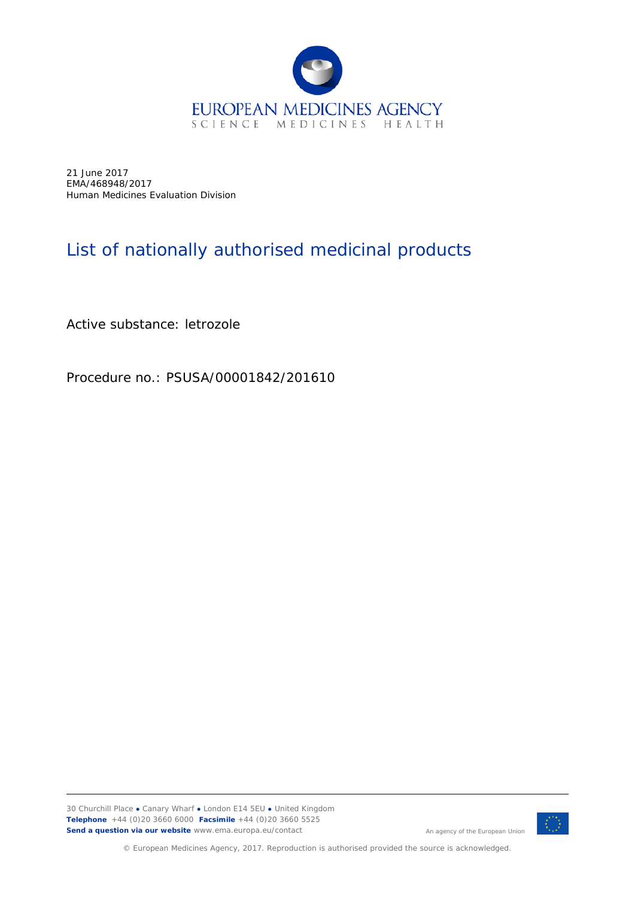

21 June 2017 EMA/468948/2017 Human Medicines Evaluation Division

## List of nationally authorised medicinal products

Active substance: letrozole

Procedure no.: PSUSA/00001842/201610



An agency of the European Union

© European Medicines Agency, 2017. Reproduction is authorised provided the source is acknowledged.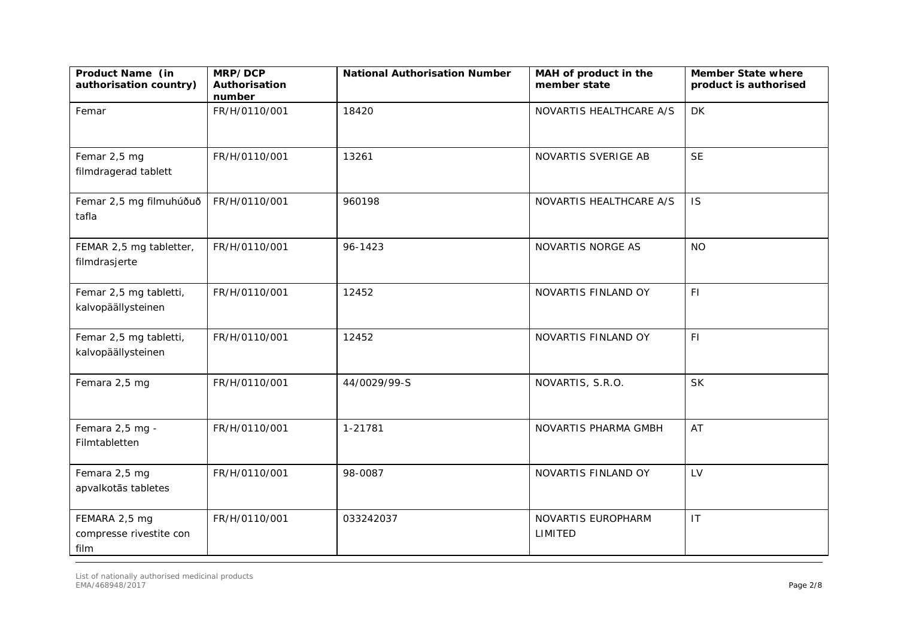| Product Name (in<br>authorisation country)       | MRP/DCP<br>Authorisation<br>number | <b>National Authorisation Number</b> | MAH of product in the<br>member state | <b>Member State where</b><br>product is authorised |
|--------------------------------------------------|------------------------------------|--------------------------------------|---------------------------------------|----------------------------------------------------|
| Femar                                            | FR/H/0110/001                      | 18420                                | NOVARTIS HEALTHCARE A/S               | <b>DK</b>                                          |
| Femar 2,5 mg<br>filmdragerad tablett             | FR/H/0110/001                      | 13261                                | NOVARTIS SVERIGE AB                   | <b>SE</b>                                          |
| Femar 2,5 mg filmuhúðuð<br>tafla                 | FR/H/0110/001                      | 960198                               | NOVARTIS HEALTHCARE A/S               | <b>IS</b>                                          |
| FEMAR 2,5 mg tabletter,<br>filmdrasjerte         | FR/H/0110/001                      | 96-1423                              | NOVARTIS NORGE AS                     | <b>NO</b>                                          |
| Femar 2,5 mg tabletti,<br>kalvopäällysteinen     | FR/H/0110/001                      | 12452                                | NOVARTIS FINLAND OY                   | F1                                                 |
| Femar 2,5 mg tabletti,<br>kalvopäällysteinen     | FR/H/0110/001                      | 12452                                | NOVARTIS FINLAND OY                   | F1                                                 |
| Femara 2,5 mg                                    | FR/H/0110/001                      | 44/0029/99-S                         | NOVARTIS, S.R.O.                      | <b>SK</b>                                          |
| Femara 2,5 mg -<br>Filmtabletten                 | FR/H/0110/001                      | 1-21781                              | NOVARTIS PHARMA GMBH                  | AT                                                 |
| Femara 2,5 mg<br>apvalkotās tabletes             | FR/H/0110/001                      | 98-0087                              | NOVARTIS FINLAND OY                   | LV                                                 |
| FEMARA 2,5 mg<br>compresse rivestite con<br>film | FR/H/0110/001                      | 033242037                            | NOVARTIS EUROPHARM<br>LIMITED         | IT                                                 |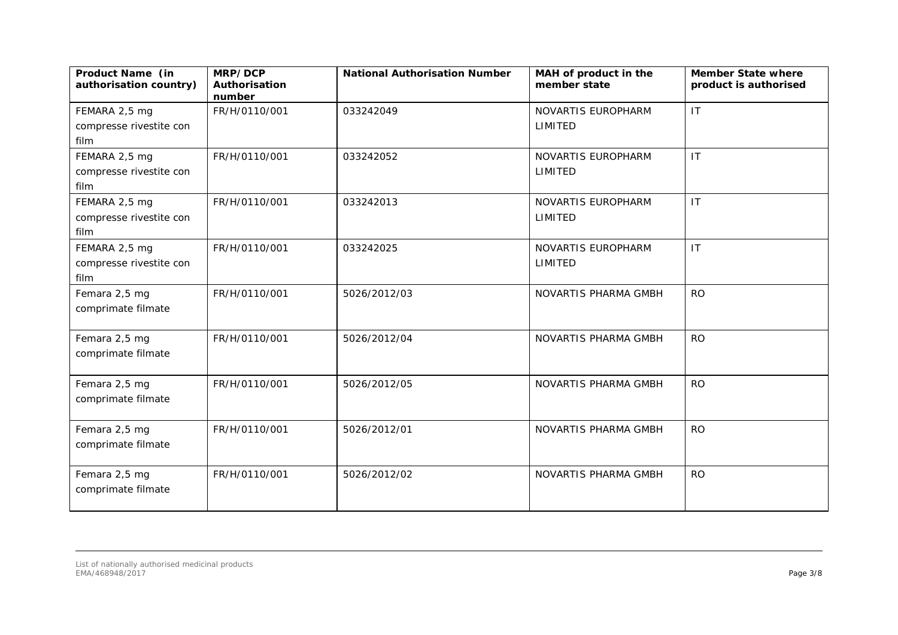| Product Name (in<br>authorisation country) | MRP/DCP<br>Authorisation<br>number | <b>National Authorisation Number</b> | MAH of product in the<br>member state | <b>Member State where</b><br>product is authorised |
|--------------------------------------------|------------------------------------|--------------------------------------|---------------------------------------|----------------------------------------------------|
| FEMARA 2,5 mg                              | FR/H/0110/001                      | 033242049                            | NOVARTIS EUROPHARM                    | IT                                                 |
| compresse rivestite con                    |                                    |                                      | LIMITED                               |                                                    |
| film                                       |                                    |                                      |                                       |                                                    |
| FEMARA 2,5 mg                              | FR/H/0110/001                      | 033242052                            | NOVARTIS EUROPHARM                    | IT                                                 |
| compresse rivestite con                    |                                    |                                      | LIMITED                               |                                                    |
| film                                       |                                    |                                      |                                       |                                                    |
| FEMARA 2,5 mg                              | FR/H/0110/001                      | 033242013                            | NOVARTIS EUROPHARM                    | IT                                                 |
| compresse rivestite con                    |                                    |                                      | LIMITED                               |                                                    |
| film                                       |                                    |                                      |                                       |                                                    |
| FEMARA 2,5 mg                              | FR/H/0110/001                      | 033242025                            | NOVARTIS EUROPHARM                    | IT                                                 |
| compresse rivestite con                    |                                    |                                      | LIMITED                               |                                                    |
| film                                       |                                    |                                      |                                       |                                                    |
| Femara 2,5 mg                              | FR/H/0110/001                      | 5026/2012/03                         | NOVARTIS PHARMA GMBH                  | <b>RO</b>                                          |
| comprimate filmate                         |                                    |                                      |                                       |                                                    |
|                                            |                                    |                                      |                                       |                                                    |
| Femara 2,5 mg                              | FR/H/0110/001                      | 5026/2012/04                         | NOVARTIS PHARMA GMBH                  | <b>RO</b>                                          |
| comprimate filmate                         |                                    |                                      |                                       |                                                    |
|                                            |                                    |                                      |                                       |                                                    |
| Femara 2,5 mg                              | FR/H/0110/001                      | 5026/2012/05                         | NOVARTIS PHARMA GMBH                  | <b>RO</b>                                          |
| comprimate filmate                         |                                    |                                      |                                       |                                                    |
|                                            |                                    |                                      |                                       |                                                    |
| Femara 2,5 mg                              | FR/H/0110/001                      | 5026/2012/01                         | NOVARTIS PHARMA GMBH                  | <b>RO</b>                                          |
| comprimate filmate                         |                                    |                                      |                                       |                                                    |
|                                            |                                    |                                      |                                       |                                                    |
| Femara 2,5 mg                              | FR/H/0110/001                      | 5026/2012/02                         | NOVARTIS PHARMA GMBH                  | <b>RO</b>                                          |
| comprimate filmate                         |                                    |                                      |                                       |                                                    |
|                                            |                                    |                                      |                                       |                                                    |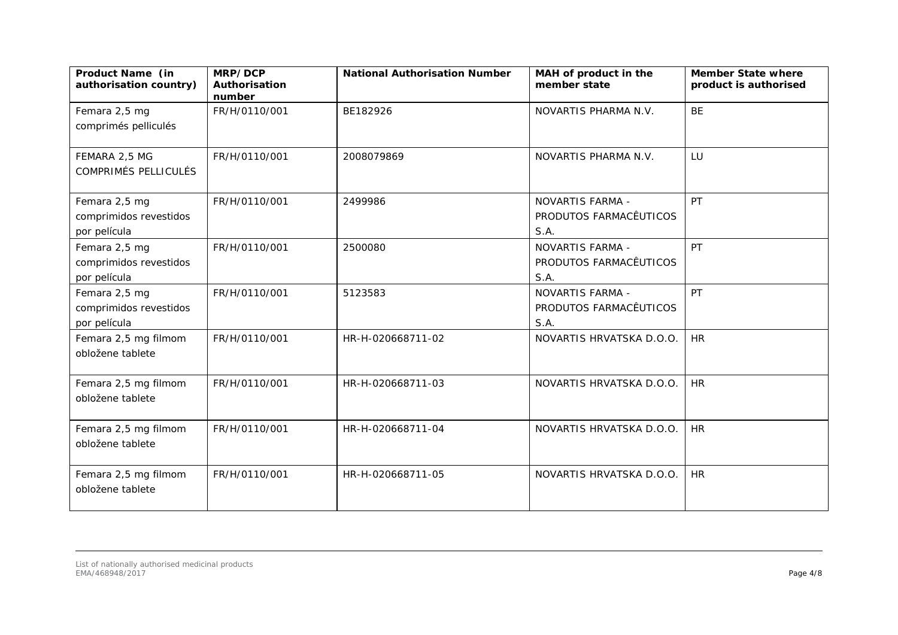| Product Name (in<br>authorisation country)              | MRP/DCP<br>Authorisation<br>number | <b>National Authorisation Number</b> | MAH of product in the<br>member state                     | <b>Member State where</b><br>product is authorised |
|---------------------------------------------------------|------------------------------------|--------------------------------------|-----------------------------------------------------------|----------------------------------------------------|
| Femara 2,5 mg<br>comprimés pelliculés                   | FR/H/0110/001                      | BE182926                             | NOVARTIS PHARMA N.V.                                      | <b>BE</b>                                          |
| FEMARA 2,5 MG<br><b>COMPRIMÉS PELLICULÉS</b>            | FR/H/0110/001                      | 2008079869                           | NOVARTIS PHARMA N.V.                                      | LU                                                 |
| Femara 2,5 mg<br>comprimidos revestidos<br>por película | FR/H/0110/001                      | 2499986                              | NOVARTIS FARMA -<br>PRODUTOS FARMACÊUTICOS<br>S.A.        | PT                                                 |
| Femara 2,5 mg<br>comprimidos revestidos<br>por película | FR/H/0110/001                      | 2500080                              | <b>NOVARTIS FARMA -</b><br>PRODUTOS FARMACÊUTICOS<br>S.A. | PT                                                 |
| Femara 2,5 mg<br>comprimidos revestidos<br>por película | FR/H/0110/001                      | 5123583                              | NOVARTIS FARMA -<br>PRODUTOS FARMACÊUTICOS<br>S.A.        | PT                                                 |
| Femara 2,5 mg filmom<br>obložene tablete                | FR/H/0110/001                      | HR-H-020668711-02                    | NOVARTIS HRVATSKA D.O.O.                                  | <b>HR</b>                                          |
| Femara 2,5 mg filmom<br>obložene tablete                | FR/H/0110/001                      | HR-H-020668711-03                    | NOVARTIS HRVATSKA D.O.O.                                  | <b>HR</b>                                          |
| Femara 2,5 mg filmom<br>obložene tablete                | FR/H/0110/001                      | HR-H-020668711-04                    | NOVARTIS HRVATSKA D.O.O.                                  | <b>HR</b>                                          |
| Femara 2,5 mg filmom<br>obložene tablete                | FR/H/0110/001                      | HR-H-020668711-05                    | NOVARTIS HRVATSKA D.O.O.                                  | <b>HR</b>                                          |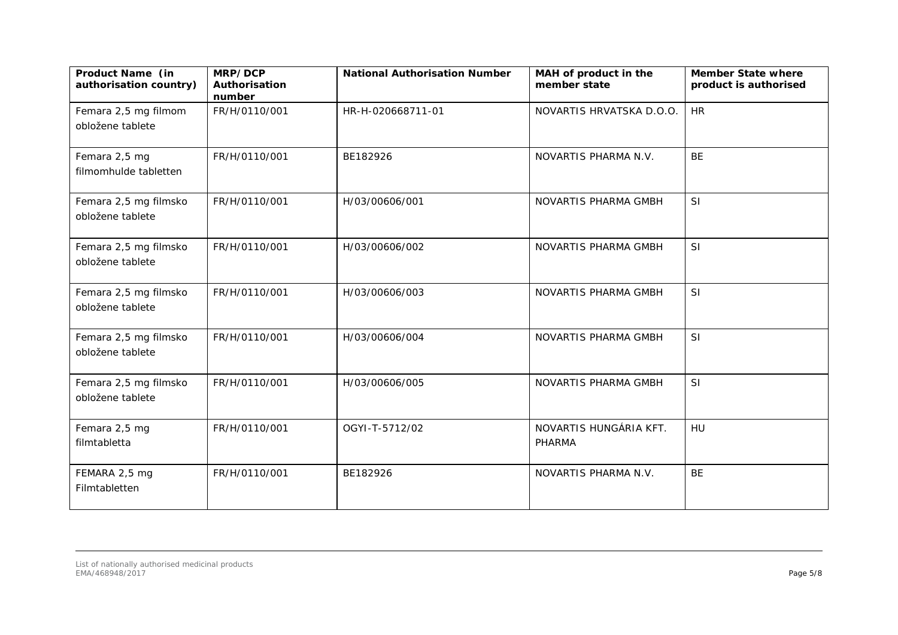| Product Name (in<br>authorisation country) | MRP/DCP<br>Authorisation<br>number | <b>National Authorisation Number</b> | MAH of product in the<br>member state | <b>Member State where</b><br>product is authorised |
|--------------------------------------------|------------------------------------|--------------------------------------|---------------------------------------|----------------------------------------------------|
| Femara 2,5 mg filmom<br>obložene tablete   | FR/H/0110/001                      | HR-H-020668711-01                    | NOVARTIS HRVATSKA D.O.O.              | <b>HR</b>                                          |
| Femara 2,5 mg<br>filmomhulde tabletten     | FR/H/0110/001                      | BE182926                             | NOVARTIS PHARMA N.V.                  | <b>BE</b>                                          |
| Femara 2,5 mg filmsko<br>obložene tablete  | FR/H/0110/001                      | H/03/00606/001                       | NOVARTIS PHARMA GMBH                  | SI                                                 |
| Femara 2,5 mg filmsko<br>obložene tablete  | FR/H/0110/001                      | H/03/00606/002                       | NOVARTIS PHARMA GMBH                  | SI                                                 |
| Femara 2,5 mg filmsko<br>obložene tablete  | FR/H/0110/001                      | H/03/00606/003                       | NOVARTIS PHARMA GMBH                  | SI                                                 |
| Femara 2,5 mg filmsko<br>obložene tablete  | FR/H/0110/001                      | H/03/00606/004                       | NOVARTIS PHARMA GMBH                  | SI                                                 |
| Femara 2,5 mg filmsko<br>obložene tablete  | FR/H/0110/001                      | H/03/00606/005                       | NOVARTIS PHARMA GMBH                  | SI                                                 |
| Femara 2,5 mg<br>filmtabletta              | FR/H/0110/001                      | OGYI-T-5712/02                       | NOVARTIS HUNGÁRIA KFT.<br>PHARMA      | HU                                                 |
| FEMARA 2,5 mg<br>Filmtabletten             | FR/H/0110/001                      | BE182926                             | NOVARTIS PHARMA N.V.                  | BE                                                 |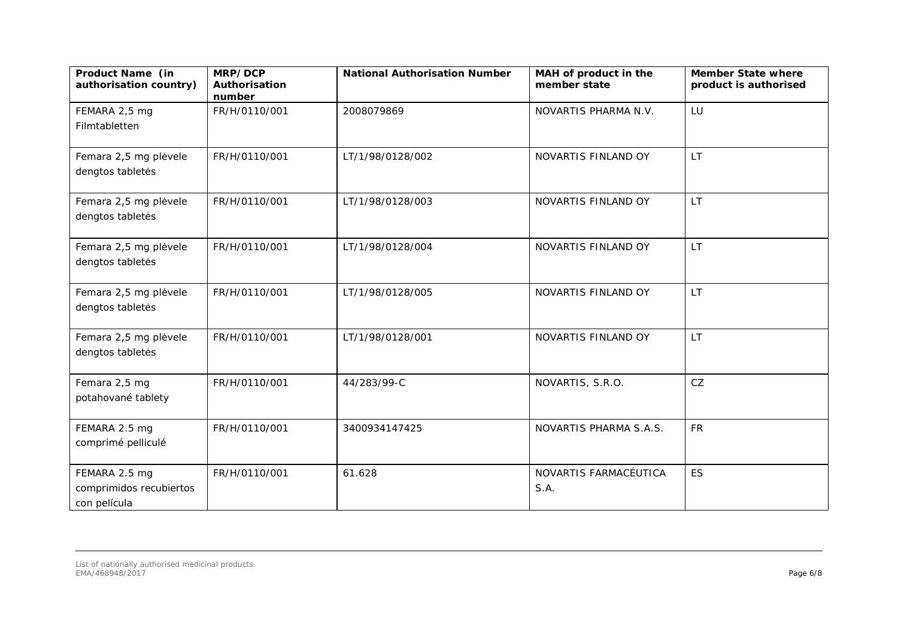| Product Name (in<br>authorisation country)               | MRP/DCP<br>Authorisation<br>number | <b>National Authorisation Number</b> | MAH of product in the<br>member state | <b>Member State where</b><br>product is authorised |
|----------------------------------------------------------|------------------------------------|--------------------------------------|---------------------------------------|----------------------------------------------------|
| FEMARA 2,5 mg<br>Filmtabletten                           | FR/H/0110/001                      | 2008079869                           | NOVARTIS PHARMA N.V.                  | LU                                                 |
| Femara 2,5 mg plėvele<br>dengtos tabletės                | FR/H/0110/001                      | LT/1/98/0128/002                     | NOVARTIS FINLAND OY                   | LT.                                                |
| Femara 2,5 mg plėvele<br>dengtos tabletės                | FR/H/0110/001                      | LT/1/98/0128/003                     | NOVARTIS FINLAND OY                   | <b>LT</b>                                          |
| Femara 2,5 mg plėvele<br>dengtos tabletės                | FR/H/0110/001                      | LT/1/98/0128/004                     | NOVARTIS FINLAND OY                   | <b>LT</b>                                          |
| Femara 2,5 mg plėvele<br>dengtos tabletės                | FR/H/0110/001                      | LT/1/98/0128/005                     | NOVARTIS FINLAND OY                   | <b>LT</b>                                          |
| Femara 2,5 mg plėvele<br>dengtos tabletės                | FR/H/0110/001                      | LT/1/98/0128/001                     | NOVARTIS FINLAND OY                   | LT.                                                |
| Femara 2,5 mg<br>potahované tablety                      | FR/H/0110/001                      | 44/283/99-C                          | NOVARTIS, S.R.O.                      | CZ                                                 |
| FEMARA 2.5 mg<br>comprimé pelliculé                      | FR/H/0110/001                      | 3400934147425                        | NOVARTIS PHARMA S.A.S.                | <b>FR</b>                                          |
| FEMARA 2.5 mg<br>comprimidos recubiertos<br>con película | FR/H/0110/001                      | 61.628                               | NOVARTIS FARMACÉUTICA<br>S.A.         | <b>ES</b>                                          |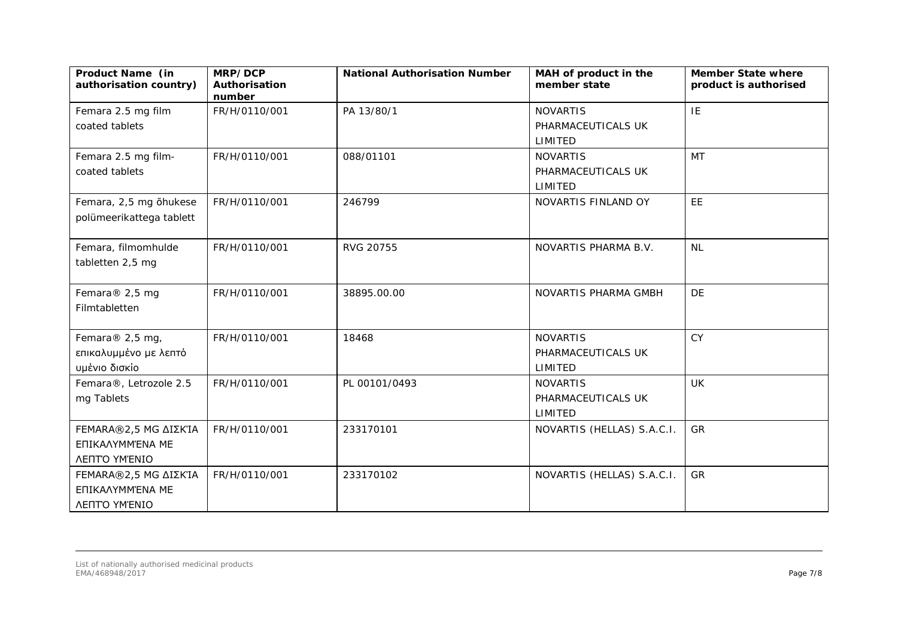| Product Name (in<br>authorisation country) | MRP/DCP<br>Authorisation<br>number | <b>National Authorisation Number</b> | MAH of product in the<br>member state | <b>Member State where</b><br>product is authorised |
|--------------------------------------------|------------------------------------|--------------------------------------|---------------------------------------|----------------------------------------------------|
| Femara 2.5 mg film                         | FR/H/0110/001                      | PA 13/80/1                           | <b>NOVARTIS</b>                       | IE                                                 |
| coated tablets                             |                                    |                                      | PHARMACEUTICALS UK                    |                                                    |
|                                            |                                    |                                      | LIMITED                               |                                                    |
| Femara 2.5 mg film-                        | FR/H/0110/001                      | 088/01101                            | <b>NOVARTIS</b>                       | <b>MT</b>                                          |
| coated tablets                             |                                    |                                      | PHARMACEUTICALS UK                    |                                                    |
|                                            |                                    |                                      | LIMITED                               |                                                    |
| Femara, 2,5 mg õhukese                     | FR/H/0110/001                      | 246799                               | NOVARTIS FINLAND OY                   | EE                                                 |
| polümeerikattega tablett                   |                                    |                                      |                                       |                                                    |
| Femara, filmomhulde                        | FR/H/0110/001                      | RVG 20755                            | NOVARTIS PHARMA B.V.                  | <b>NL</b>                                          |
| tabletten 2,5 mg                           |                                    |                                      |                                       |                                                    |
| Femara® 2,5 mg                             | FR/H/0110/001                      | 38895.00.00                          | NOVARTIS PHARMA GMBH                  | <b>DE</b>                                          |
| Filmtabletten                              |                                    |                                      |                                       |                                                    |
| Femara® 2,5 mg,                            | FR/H/0110/001                      | 18468                                | <b>NOVARTIS</b>                       | <b>CY</b>                                          |
| επικαλυμμένο με λεπτό                      |                                    |                                      | PHARMACEUTICALS UK                    |                                                    |
| υμένιο δισκίο                              |                                    |                                      | LIMITED                               |                                                    |
| Femara®, Letrozole 2.5                     | FR/H/0110/001                      | PL 00101/0493                        | <b>NOVARTIS</b>                       | UK                                                 |
| mg Tablets                                 |                                    |                                      | PHARMACEUTICALS UK                    |                                                    |
|                                            |                                    |                                      | LIMITED                               |                                                    |
| <b>FEMARA®2,5 MG ΔΙΣΚΊΑ</b>                | FR/H/0110/001                      | 233170101                            | NOVARTIS (HELLAS) S.A.C.I.            | GR                                                 |
| ΕΠΙΚΑΛΥΜΜΈΝΑ ΜΕ                            |                                    |                                      |                                       |                                                    |
| ΛΕΠΤΟ ΥΜΈΝΙΟ                               |                                    |                                      |                                       |                                                    |
| <b>FEMARA®2,5 MG ΔΙΣΚΊΑ</b>                | FR/H/0110/001                      | 233170102                            | NOVARTIS (HELLAS) S.A.C.I.            | <b>GR</b>                                          |
| ΕΠΙΚΑΛΥΜΜΈΝΑ ΜΕ                            |                                    |                                      |                                       |                                                    |
| <b>ΛΕΠΤΟ ΥΜΈΝΙΟ</b>                        |                                    |                                      |                                       |                                                    |